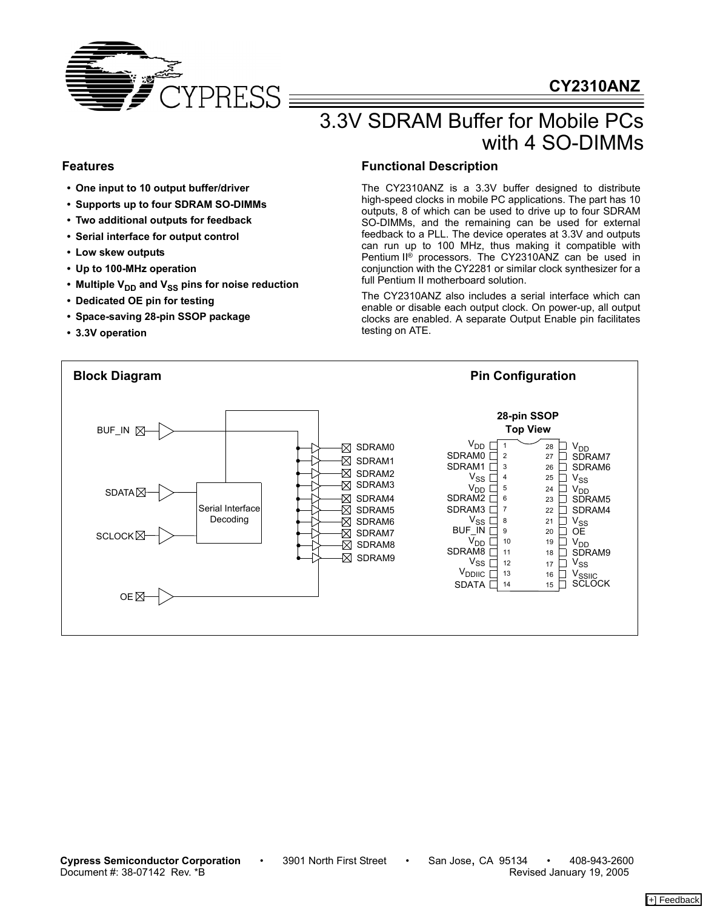

# **CY2310ANZ**

# 3.3V SDRAM Buffer for Mobile PCs with 4 SO-DIMMs

### **Features**

- **One input to 10 output buffer/driver**
- **Supports up to four SDRAM SO-DIMMs**
- **Two additional outputs for feedback**
- **Serial interface for output control**
- **Low skew outputs**
- **Up to 100-MHz operation**
- Multiple V<sub>DD</sub> and V<sub>SS</sub> pins for noise reduction
- **Dedicated OE pin for testing**
- **Space-saving 28-pin SSOP package**
- **3.3V operation**

### **Functional Description**

The CY2310ANZ is a 3.3V buffer designed to distribute high-speed clocks in mobile PC applications. The part has 10 outputs, 8 of which can be used to drive up to four SDRAM SO-DIMMs, and the remaining can be used for external feedback to a PLL. The device operates at 3.3V and outputs can run up to 100 MHz, thus making it compatible with Pentium II® processors. The CY2310ANZ can be used in conjunction with the CY2281 or similar clock synthesizer for a full Pentium II motherboard solution.

The CY2310ANZ also includes a serial interface which can enable or disable each output clock. On power-up, all output clocks are enabled. A separate Output Enable pin facilitates testing on ATE.

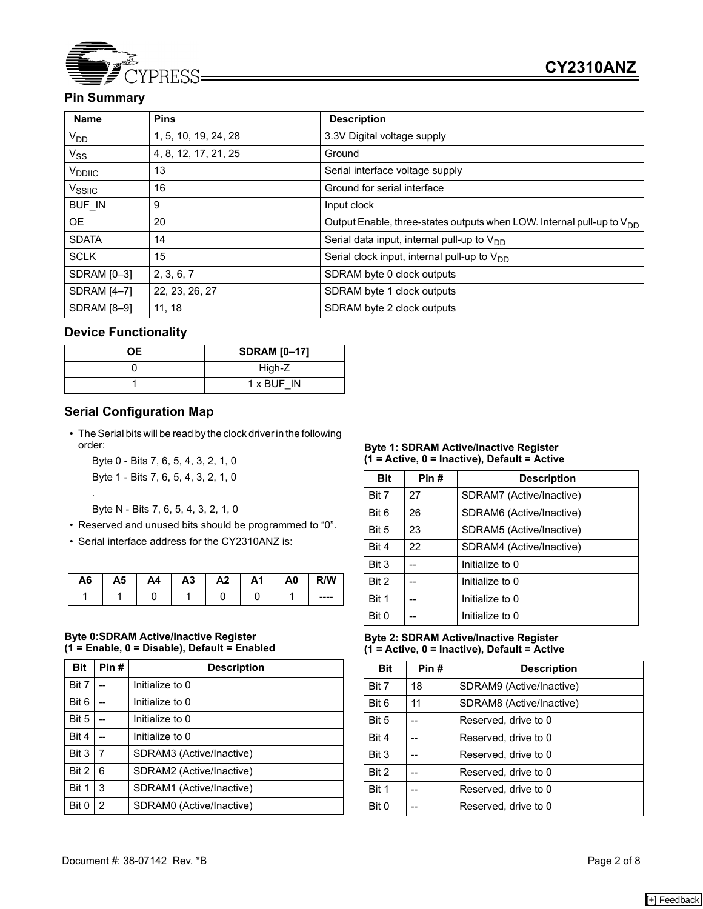

# **Pin Summary**

| <b>Name</b>        | <b>Pins</b>          | <b>Description</b>                                                         |
|--------------------|----------------------|----------------------------------------------------------------------------|
| $V_{DD}$           | 1, 5, 10, 19, 24, 28 | 3.3V Digital voltage supply                                                |
| $V_{SS}$           | 4, 8, 12, 17, 21, 25 | Ground                                                                     |
| V <sub>DDIIC</sub> | 13                   | Serial interface voltage supply                                            |
| V <sub>SSIIC</sub> | 16                   | Ground for serial interface                                                |
| <b>BUF IN</b>      | 9                    | Input clock                                                                |
| OE.                | 20                   | Output Enable, three-states outputs when LOW. Internal pull-up to $V_{DD}$ |
| <b>SDATA</b>       | 14                   | Serial data input, internal pull-up to $V_{DD}$                            |
| <b>SCLK</b>        | 15                   | Serial clock input, internal pull-up to $V_{DD}$                           |
| SDRAM [0-3]        | 2, 3, 6, 7           | SDRAM byte 0 clock outputs                                                 |
| <b>SDRAM [4-7]</b> | 22, 23, 26, 27       | SDRAM byte 1 clock outputs                                                 |
| <b>SDRAM [8-9]</b> | 11, 18               | SDRAM byte 2 clock outputs                                                 |

#### **Device Functionality**

| OΕ. | <b>SDRAM [0-17]</b> |
|-----|---------------------|
|     | High-Z              |
|     | 1 x BUF IN          |

#### **Serial Configuration Map**

.

• The Serial bits will be read by the clock driver in the following order:

Byte 0 - Bits 7, 6, 5, 4, 3, 2, 1, 0 Byte 1 - Bits 7, 6, 5, 4, 3, 2, 1, 0

Byte N - Bits 7, 6, 5, 4, 3, 2, 1, 0

- Reserved and unused bits should be programmed to "0".
- Serial interface address for the CY2310ANZ is:

| A6 | А5 | A4 | A <sub>3</sub> | A <sub>2</sub> | A1 | A0 | R/W     |
|----|----|----|----------------|----------------|----|----|---------|
|    |    |    |                |                |    |    | $--- -$ |

#### **Byte 0:SDRAM Active/Inactive Register (1 = Enable, 0 = Disable), Default = Enabled**

| <b>Bit</b> | Pin# | <b>Description</b>       |
|------------|------|--------------------------|
| Bit 7      |      | Initialize to 0          |
| Bit 6      |      | Initialize to 0          |
| Bit 5      |      | Initialize to 0          |
| Bit 4      |      | Initialize to 0          |
| Bit 3      | 7    | SDRAM3 (Active/Inactive) |
| Bit 2      | 6    | SDRAM2 (Active/Inactive) |
| Bit 1      | 3    | SDRAM1 (Active/Inactive) |
| Bit 0      | 2    | SDRAM0 (Active/Inactive) |

#### **Byte 1: SDRAM Active/Inactive Register (1 = Active, 0 = Inactive), Default = Active**

| <b>Bit</b> | Pin# | <b>Description</b>       |
|------------|------|--------------------------|
| Bit 7      | 27   | SDRAM7 (Active/Inactive) |
| Bit 6      | 26   | SDRAM6 (Active/Inactive) |
| Bit 5      | 23   | SDRAM5 (Active/Inactive) |
| Bit 4      | 22   | SDRAM4 (Active/Inactive) |
| Bit 3      |      | Initialize to 0          |
| Bit 2      |      | Initialize to 0          |
| Bit 1      |      | Initialize to 0          |
| Bit 0      |      | Initialize to 0          |

#### **Byte 2: SDRAM Active/Inactive Register (1 = Active, 0 = Inactive), Default = Active**

| <b>Bit</b> | Pin# | <b>Description</b>       |
|------------|------|--------------------------|
| Bit 7      | 18   | SDRAM9 (Active/Inactive) |
| Bit 6      | 11   | SDRAM8 (Active/Inactive) |
| Bit 5      |      | Reserved, drive to 0     |
| Bit 4      |      | Reserved, drive to 0     |
| Bit 3      |      | Reserved, drive to 0     |
| Bit 2      |      | Reserved, drive to 0     |
| Bit 1      |      | Reserved, drive to 0     |
| Bit 0      |      | Reserved, drive to 0     |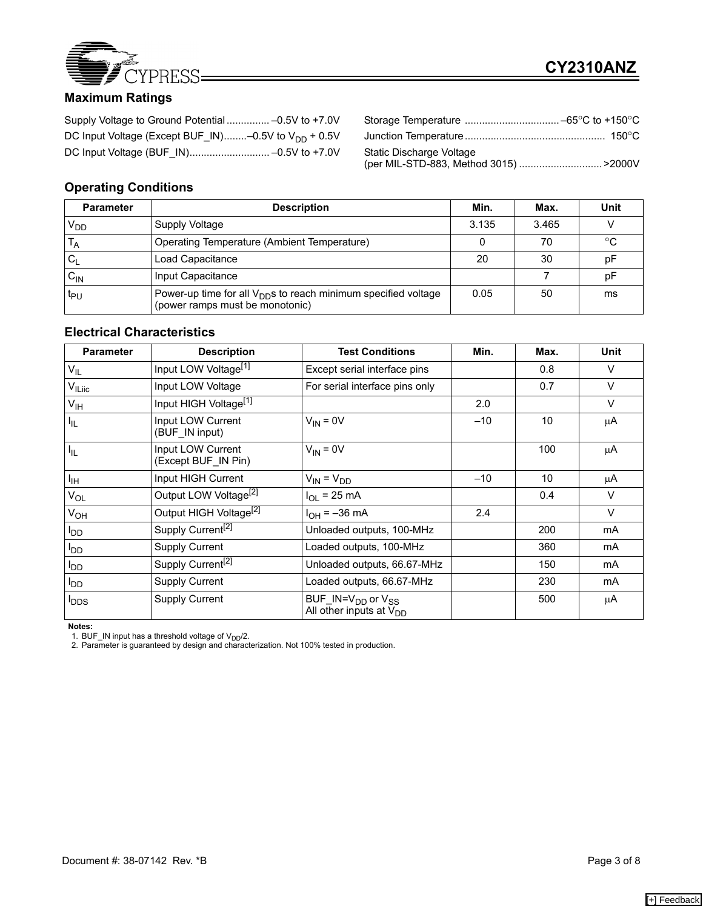

# **Maximum Ratings**

| DC Input Voltage (Except BUF IN)–0.5V to $V_{DD}$ + 0.5V |  |
|----------------------------------------------------------|--|
|                                                          |  |

| Static Discharge Voltage              |  |
|---------------------------------------|--|
| (per MIL-STD-883, Method 3015) >2000V |  |

# **Operating Conditions**

| <b>Parameter</b>   | <b>Description</b>                                                                                            | Min.  | Max.  | Unit |
|--------------------|---------------------------------------------------------------------------------------------------------------|-------|-------|------|
| V <sub>DD</sub>    | Supply Voltage                                                                                                | 3.135 | 3.465 |      |
| ΙA                 | Operating Temperature (Ambient Temperature)                                                                   |       | 70    | ം    |
|                    | Load Capacitance                                                                                              | 20    | 30    | рF   |
| ${\sf c}_{\sf IN}$ | Input Capacitance                                                                                             |       |       | рF   |
| t <sub>PU</sub>    | Power-up time for all V <sub>DD</sub> s to reach minimum specified voltage<br>(power ramps must be monotonic) | 0.05  | 50    | ms   |

#### **Electrical Characteristics**

| <b>Parameter</b>        | <b>Description</b>                       | <b>Test Conditions</b>                                                    | Min.  | Max. | <b>Unit</b> |
|-------------------------|------------------------------------------|---------------------------------------------------------------------------|-------|------|-------------|
| $V_{IL}$                | Input LOW Voltage <sup>[1]</sup>         | Except serial interface pins                                              |       | 0.8  | $\vee$      |
| V <sub>ILiic</sub>      | Input LOW Voltage                        | For serial interface pins only                                            |       | 0.7  | $\vee$      |
| $V_{\text{IH}}$         | Input HIGH Voltage <sup>[1]</sup>        |                                                                           | 2.0   |      | $\vee$      |
| $I_{IL}$                | Input LOW Current<br>(BUF_IN input)      | $V_{IN} = 0V$                                                             | $-10$ | 10   | μA          |
| $I_{IL}$                | Input LOW Current<br>(Except BUF IN Pin) | $V_{IN} = 0V$                                                             |       | 100  | μA          |
| Iн                      | Input HIGH Current                       | $V_{IN} = V_{DD}$                                                         | $-10$ | 10   | μA          |
| $V_{OL}$                | Output LOW Voltage <sup>[2]</sup>        | $I_{OL}$ = 25 mA                                                          |       | 0.4  | $\vee$      |
| V <sub>OH</sub>         | Output HIGH Voltage <sup>[2]</sup>       | $I_{OH} = -36$ mA                                                         | 2.4   |      | $\vee$      |
| OD                      | Supply Current <sup>[2]</sup>            | Unloaded outputs, 100-MHz                                                 |       | 200  | mA          |
| l <sub>DD</sub>         | <b>Supply Current</b>                    | Loaded outputs, 100-MHz                                                   |       | 360  | mA          |
| OD                      | Supply Current <sup>[2]</sup>            | Unloaded outputs, 66.67-MHz                                               |       | 150  | mA          |
| l <sub>DD</sub>         | <b>Supply Current</b>                    | Loaded outputs, 66.67-MHz                                                 |       | 230  | mA          |
| <b>I</b> <sub>DDS</sub> | <b>Supply Current</b>                    | BUF_IN=V <sub>DD</sub> or V <sub>SS</sub><br>All other inputs at $V_{DD}$ |       | 500  | μA          |

**Notes:** 

1. BUF\_IN input has a threshold voltage of V<sub>DD</sub>/2.<br>2. Parameter is guaranteed by design and characterization. Not 100% tested in production.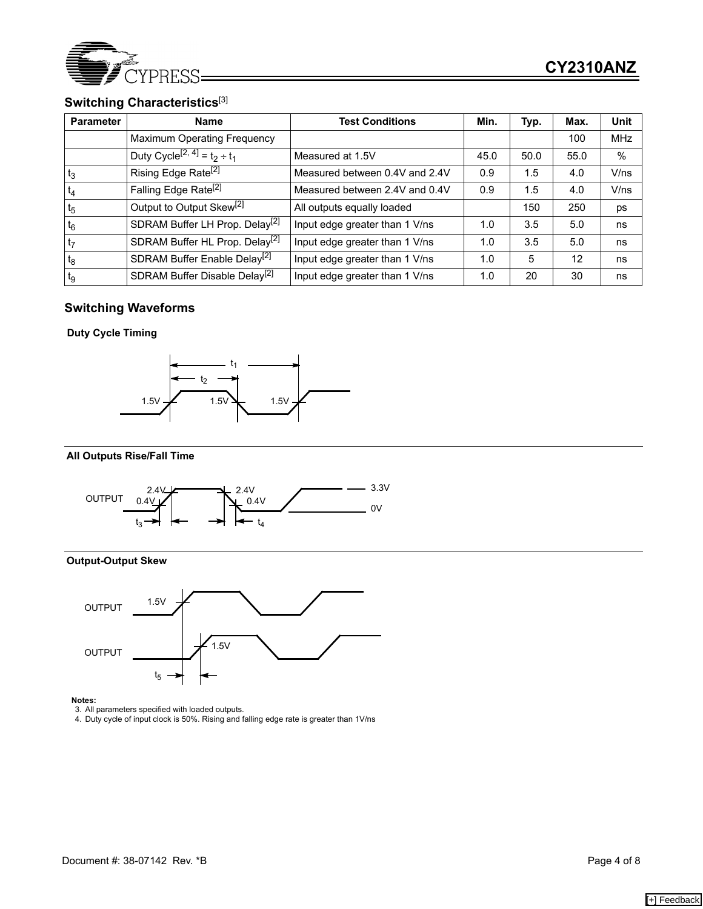

### **Switching Characteristics**[3]

| <b>Parameter</b> | <b>Name</b>                                   | <b>Test Conditions</b>         | Min. | Typ. | Max.              | Unit       |
|------------------|-----------------------------------------------|--------------------------------|------|------|-------------------|------------|
|                  | <b>Maximum Operating Frequency</b>            |                                |      |      | 100               | <b>MHz</b> |
|                  | Duty Cycle <sup>[2, 4]</sup> = $t_2 \div t_1$ | Measured at 1.5V               | 45.0 | 50.0 | 55.0              | %          |
| $t_3$            | Rising Edge Rate <sup>[2]</sup>               | Measured between 0.4V and 2.4V | 0.9  | 1.5  | 4.0               | V/ns       |
| $t_4$            | Falling Edge Rate <sup>[2]</sup>              | Measured between 2.4V and 0.4V | 0.9  | 1.5  | 4.0               | V/ns       |
| t <sub>5</sub>   | Output to Output Skew <sup>[2]</sup>          | All outputs equally loaded     |      | 150  | 250               | ps         |
| $t_6$            | SDRAM Buffer LH Prop. Delay <sup>[2]</sup>    | Input edge greater than 1 V/ns | 1.0  | 3.5  | 5.0               | ns         |
| t <sub>7</sub>   | SDRAM Buffer HL Prop. Delay <sup>[2]</sup>    | Input edge greater than 1 V/ns | 1.0  | 3.5  | 5.0               | ns         |
| t <sub>8</sub>   | SDRAM Buffer Enable Delay <sup>[2]</sup>      | Input edge greater than 1 V/ns | 1.0  | 5    | $12 \overline{ }$ | ns         |
| tg               | SDRAM Buffer Disable Delay <sup>[2]</sup>     | Input edge greater than 1 V/ns | 1.0  | 20   | 30                | ns         |

### **Switching Waveforms**

#### **Duty Cycle Timing**



#### **All Outputs Rise/Fall Time**



#### **Output-Output Skew**



**Notes:** 

3. All parameters specified with loaded outputs. 4. Duty cycle of input clock is 50%. Rising and falling edge rate is greater than 1V/ns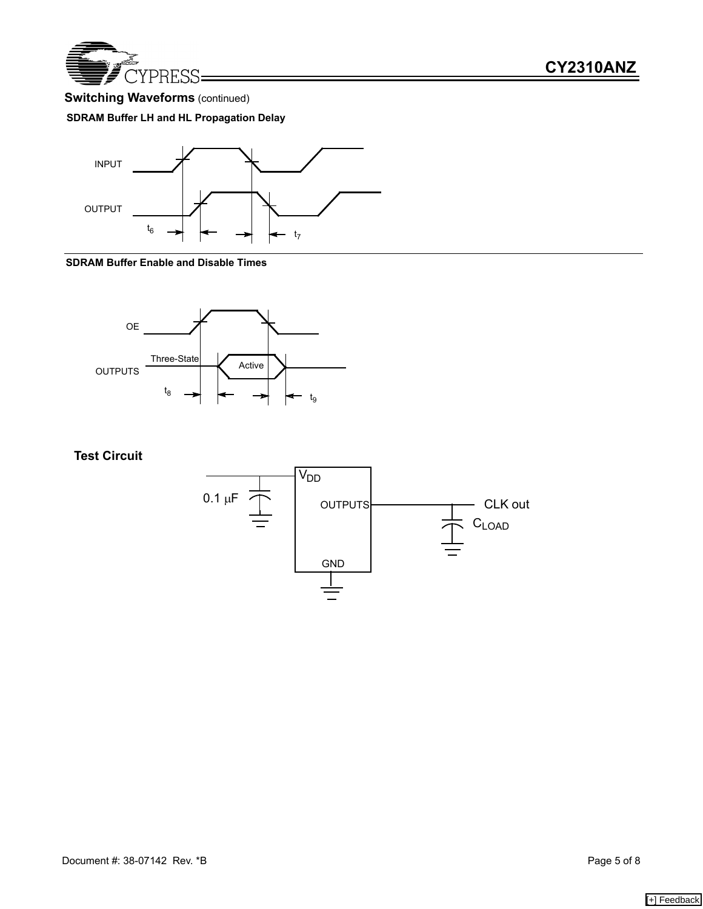

# **Switching Waveforms** (continued)

### **SDRAM Buffer LH and HL Propagation Delay**



#### **SDRAM Buffer Enable and Disable Times**



**Test Circuit**

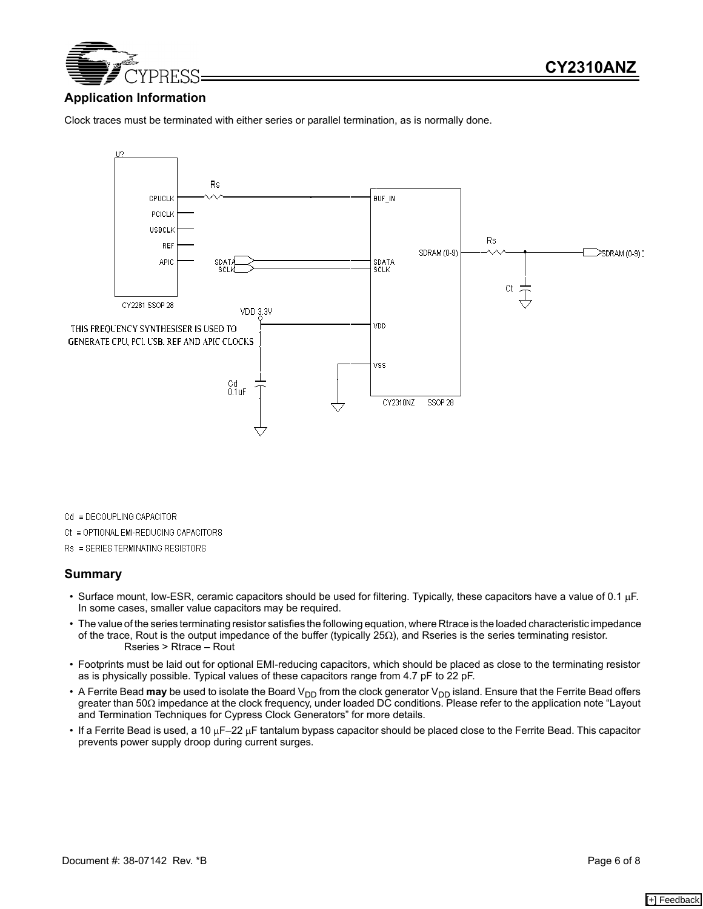

### **Application Information**

Clock traces must be terminated with either series or parallel termination, as is normally done.



Cd = DECOUPLING CAPACITOR

Ct = OPTIONAL EMI-REDUCING CAPACITORS

Rs = SERIES TERMINATING RESISTORS

#### **Summary**

- Surface mount, low-ESR, ceramic capacitors should be used for filtering. Typically, these capacitors have a value of 0.1 µF. In some cases, smaller value capacitors may be required.
- The value of the series terminating resistor satisfies the following equation, where Rtrace is the loaded characteristic impedance of the trace, Rout is the output impedance of the buffer (typically 25Ω), and Rseries is the series terminating resistor. Rseries > Rtrace – Rout
- Footprints must be laid out for optional EMI-reducing capacitors, which should be placed as close to the terminating resistor as is physically possible. Typical values of these capacitors range from 4.7 pF to 22 pF.
- A Ferrite Bead may be used to isolate the Board V<sub>DD</sub> from the clock generator V<sub>DD</sub> island. Ensure that the Ferrite Bead offers greater than 50Ω impedance at the clock frequency, under loaded DC conditions. Please refer to the application note "Layout and Termination Techniques for Cypress Clock Generators" for more details.
- If a Ferrite Bead is used, a 10 µF–22 µF tantalum bypass capacitor should be placed close to the Ferrite Bead. This capacitor prevents power supply droop during current surges.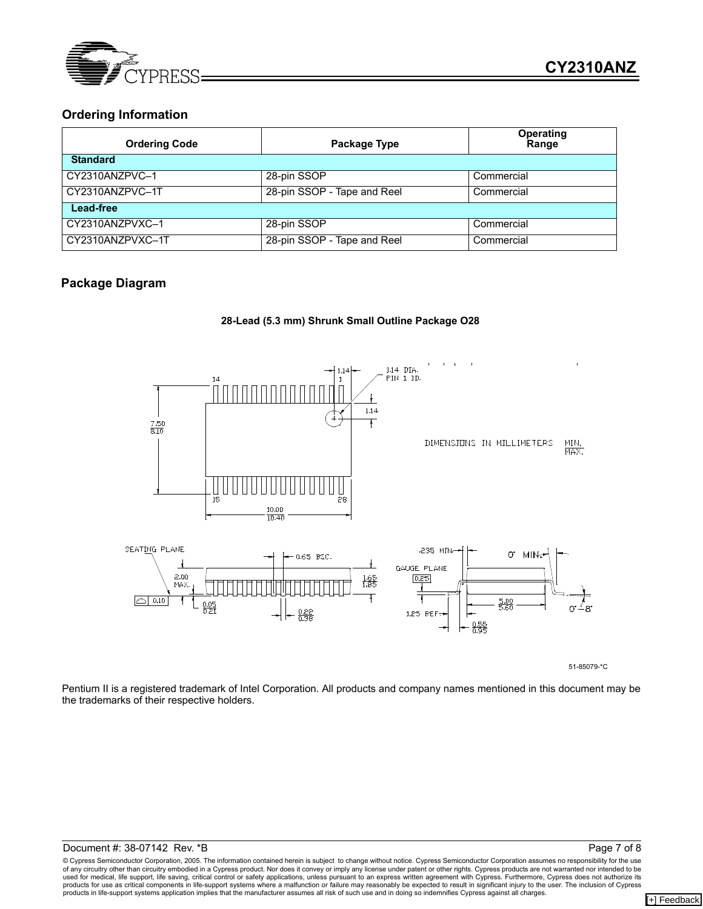

### **Ordering Information**

| <b>Ordering Code</b> | Package Type                | <b>Operating</b><br>Range |  |
|----------------------|-----------------------------|---------------------------|--|
| <b>Standard</b>      |                             |                           |  |
| CY2310ANZPVC-1       | 28-pin SSOP                 | Commercial                |  |
| CY2310ANZPVC-1T      | 28-pin SSOP - Tape and Reel | Commercial                |  |
| Lead-free            |                             |                           |  |
| CY2310ANZPVXC-1      | 28-pin SSOP                 | Commercial                |  |
| CY2310ANZPVXC-1T     | 28-pin SSOP - Tape and Reel | Commercial                |  |

### **Package Diagram**



1,25 REF.

 $\frac{0.55}{0.95}$ 

Pentium II is a registered trademark of Intel Corporation. All products and company names mentioned in this document may be 51-85079-\*C

the trademarks of their respective holders.

© Cypress Semiconductor Corporation, 2005. The information contained herein is subject to change without notice. Cypress Semiconductor Corporation assumes no responsibility for the use of any circuitry other than circuitry embodied in a Cypress product. Nor does it convey or imply any license under patent or other rights. Cypress products are not warranted nor intended to be<br>used for medical, life suppor products in life-support systems application implies that the manufacturer assumes all risk of such use and in doing so indemnifies Cypress against all charges.